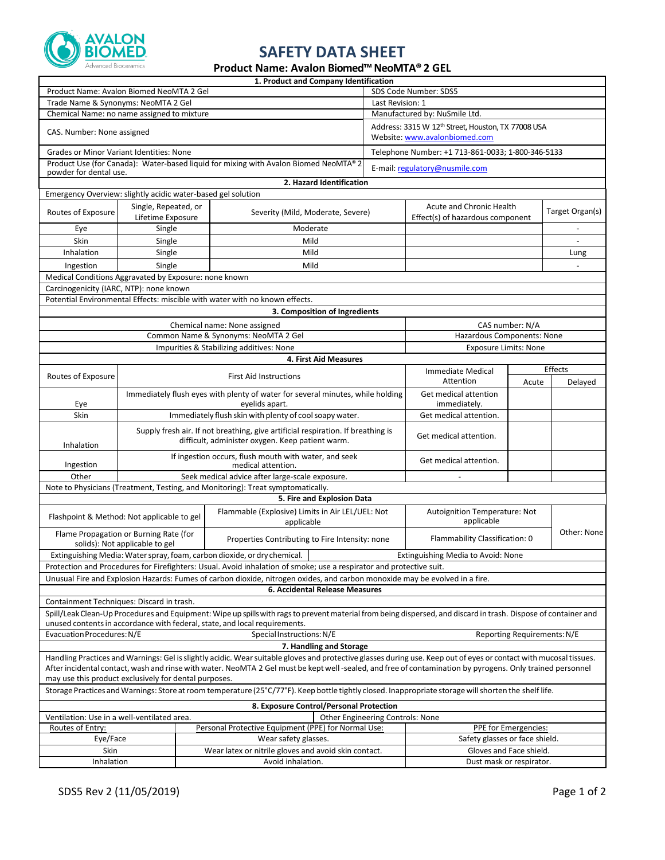

## **SAFETY DATA SHEET**

## **Product Name: Avalon Biomed™NeoMTA® 2 GEL**

|                                                                                                                                                                                                                                                                                                                                                                                          |                                           |                                                                                                  | 1. Product and Company Identification                                                                                                |                                |                                                                                                 |                 |                 |  |  |  |
|------------------------------------------------------------------------------------------------------------------------------------------------------------------------------------------------------------------------------------------------------------------------------------------------------------------------------------------------------------------------------------------|-------------------------------------------|--------------------------------------------------------------------------------------------------|--------------------------------------------------------------------------------------------------------------------------------------|--------------------------------|-------------------------------------------------------------------------------------------------|-----------------|-----------------|--|--|--|
| Product Name: Avalon Biomed NeoMTA 2 Gel                                                                                                                                                                                                                                                                                                                                                 |                                           |                                                                                                  |                                                                                                                                      | SDS Code Number: SDS5          |                                                                                                 |                 |                 |  |  |  |
| Trade Name & Synonyms: NeoMTA 2 Gel                                                                                                                                                                                                                                                                                                                                                      |                                           |                                                                                                  |                                                                                                                                      |                                | Last Revision: 1                                                                                |                 |                 |  |  |  |
| Chemical Name: no name assigned to mixture                                                                                                                                                                                                                                                                                                                                               |                                           |                                                                                                  |                                                                                                                                      |                                | Manufactured by: NuSmile Ltd.                                                                   |                 |                 |  |  |  |
| CAS. Number: None assigned                                                                                                                                                                                                                                                                                                                                                               |                                           |                                                                                                  |                                                                                                                                      |                                | Address: 3315 W 12 <sup>th</sup> Street, Houston, TX 77008 USA<br>Website: www.avalonbiomed.com |                 |                 |  |  |  |
| <b>Grades or Minor Variant Identities: None</b>                                                                                                                                                                                                                                                                                                                                          |                                           |                                                                                                  |                                                                                                                                      |                                | Telephone Number: +1 713-861-0033; 1-800-346-5133                                               |                 |                 |  |  |  |
| Product Use (for Canada): Water-based liquid for mixing with Avalon Biomed NeoMTA® 2<br>powder for dental use.                                                                                                                                                                                                                                                                           |                                           |                                                                                                  |                                                                                                                                      |                                | E-mail: regulatory@nusmile.com                                                                  |                 |                 |  |  |  |
| 2. Hazard Identification                                                                                                                                                                                                                                                                                                                                                                 |                                           |                                                                                                  |                                                                                                                                      |                                |                                                                                                 |                 |                 |  |  |  |
| Emergency Overview: slightly acidic water-based gel solution                                                                                                                                                                                                                                                                                                                             |                                           |                                                                                                  |                                                                                                                                      |                                |                                                                                                 |                 |                 |  |  |  |
| Routes of Exposure                                                                                                                                                                                                                                                                                                                                                                       | Single, Repeated, or<br>Lifetime Exposure |                                                                                                  | Severity (Mild, Moderate, Severe)                                                                                                    |                                | Acute and Chronic Health<br>Effect(s) of hazardous component                                    |                 | Target Organ(s) |  |  |  |
| Eye                                                                                                                                                                                                                                                                                                                                                                                      | Single                                    |                                                                                                  | Moderate                                                                                                                             |                                |                                                                                                 |                 |                 |  |  |  |
| Skin                                                                                                                                                                                                                                                                                                                                                                                     | Single                                    |                                                                                                  | Mild                                                                                                                                 |                                |                                                                                                 |                 |                 |  |  |  |
| Inhalation                                                                                                                                                                                                                                                                                                                                                                               | Single                                    |                                                                                                  | Mild                                                                                                                                 |                                |                                                                                                 |                 | Lung            |  |  |  |
| Ingestion                                                                                                                                                                                                                                                                                                                                                                                | Single                                    |                                                                                                  | Mild                                                                                                                                 |                                |                                                                                                 |                 |                 |  |  |  |
| Medical Conditions Aggravated by Exposure: none known                                                                                                                                                                                                                                                                                                                                    |                                           |                                                                                                  |                                                                                                                                      |                                |                                                                                                 |                 |                 |  |  |  |
| Carcinogenicity (IARC, NTP): none known                                                                                                                                                                                                                                                                                                                                                  |                                           |                                                                                                  |                                                                                                                                      |                                |                                                                                                 |                 |                 |  |  |  |
|                                                                                                                                                                                                                                                                                                                                                                                          |                                           |                                                                                                  | Potential Environmental Effects: miscible with water with no known effects.                                                          |                                |                                                                                                 |                 |                 |  |  |  |
|                                                                                                                                                                                                                                                                                                                                                                                          |                                           |                                                                                                  | 3. Composition of Ingredients                                                                                                        |                                |                                                                                                 |                 |                 |  |  |  |
|                                                                                                                                                                                                                                                                                                                                                                                          |                                           |                                                                                                  | Chemical name: None assigned                                                                                                         |                                |                                                                                                 | CAS number: N/A |                 |  |  |  |
|                                                                                                                                                                                                                                                                                                                                                                                          |                                           | Common Name & Synonyms: NeoMTA 2 Gel                                                             |                                                                                                                                      |                                | Hazardous Components: None                                                                      |                 |                 |  |  |  |
|                                                                                                                                                                                                                                                                                                                                                                                          |                                           |                                                                                                  | Impurities & Stabilizing additives: None                                                                                             |                                | <b>Exposure Limits: None</b>                                                                    |                 |                 |  |  |  |
|                                                                                                                                                                                                                                                                                                                                                                                          |                                           |                                                                                                  | 4. First Aid Measures                                                                                                                |                                |                                                                                                 |                 |                 |  |  |  |
|                                                                                                                                                                                                                                                                                                                                                                                          |                                           |                                                                                                  |                                                                                                                                      |                                | <b>Immediate Medical</b>                                                                        |                 | Effects         |  |  |  |
| Routes of Exposure                                                                                                                                                                                                                                                                                                                                                                       |                                           | <b>First Aid Instructions</b>                                                                    |                                                                                                                                      |                                | Attention                                                                                       | Acute           | Delayed         |  |  |  |
| Eye                                                                                                                                                                                                                                                                                                                                                                                      |                                           | Immediately flush eyes with plenty of water for several minutes, while holding<br>eyelids apart. |                                                                                                                                      |                                | Get medical attention<br>immediately.                                                           |                 |                 |  |  |  |
| Skin                                                                                                                                                                                                                                                                                                                                                                                     |                                           |                                                                                                  | Immediately flush skin with plenty of cool soapy water.                                                                              |                                | Get medical attention.                                                                          |                 |                 |  |  |  |
| Inhalation                                                                                                                                                                                                                                                                                                                                                                               |                                           |                                                                                                  | Supply fresh air. If not breathing, give artificial respiration. If breathing is<br>difficult, administer oxygen. Keep patient warm. |                                | Get medical attention.                                                                          |                 |                 |  |  |  |
| Ingestion                                                                                                                                                                                                                                                                                                                                                                                |                                           |                                                                                                  | If ingestion occurs, flush mouth with water, and seek<br>medical attention.                                                          |                                | Get medical attention.                                                                          |                 |                 |  |  |  |
| Other                                                                                                                                                                                                                                                                                                                                                                                    |                                           |                                                                                                  | Seek medical advice after large-scale exposure.                                                                                      |                                |                                                                                                 |                 |                 |  |  |  |
|                                                                                                                                                                                                                                                                                                                                                                                          |                                           |                                                                                                  | Note to Physicians (Treatment, Testing, and Monitoring): Treat symptomatically.                                                      |                                |                                                                                                 |                 |                 |  |  |  |
|                                                                                                                                                                                                                                                                                                                                                                                          |                                           |                                                                                                  | 5. Fire and Explosion Data                                                                                                           |                                |                                                                                                 |                 |                 |  |  |  |
| Flashpoint & Method: Not applicable to gel                                                                                                                                                                                                                                                                                                                                               |                                           |                                                                                                  | Flammable (Explosive) Limits in Air LEL/UEL: Not<br>applicable                                                                       |                                | Autoignition Temperature: Not<br>applicable                                                     |                 |                 |  |  |  |
| Flame Propagation or Burning Rate (for<br>solids): Not applicable to gel                                                                                                                                                                                                                                                                                                                 |                                           |                                                                                                  | Properties Contributing to Fire Intensity: none                                                                                      |                                | Flammability Classification: 0                                                                  |                 | Other: None     |  |  |  |
| Extinguishing Media: Water spray, foam, carbon dioxide, or dry chemical.<br>Extinguishing Media to Avoid: None                                                                                                                                                                                                                                                                           |                                           |                                                                                                  |                                                                                                                                      |                                |                                                                                                 |                 |                 |  |  |  |
| Protection and Procedures for Firefighters: Usual. Avoid inhalation of smoke; use a respirator and protective suit.                                                                                                                                                                                                                                                                      |                                           |                                                                                                  |                                                                                                                                      |                                |                                                                                                 |                 |                 |  |  |  |
| Unusual Fire and Explosion Hazards: Fumes of carbon dioxide, nitrogen oxides, and carbon monoxide may be evolved in a fire.                                                                                                                                                                                                                                                              |                                           |                                                                                                  |                                                                                                                                      |                                |                                                                                                 |                 |                 |  |  |  |
|                                                                                                                                                                                                                                                                                                                                                                                          |                                           |                                                                                                  | 6. Accidental Release Measures                                                                                                       |                                |                                                                                                 |                 |                 |  |  |  |
| Containment Techniques: Discard in trash.                                                                                                                                                                                                                                                                                                                                                |                                           |                                                                                                  |                                                                                                                                      |                                |                                                                                                 |                 |                 |  |  |  |
| Spill/Leak Clean-Up Procedures and Equipment: Wipe up spills with rags to prevent material from being dispersed, and discard in trash. Dispose of container and<br>unused contents in accordance with federal, state, and local requirements.                                                                                                                                            |                                           |                                                                                                  |                                                                                                                                      |                                |                                                                                                 |                 |                 |  |  |  |
| Evacuation Procedures: N/E<br>Special Instructions: N/E<br>Reporting Requirements: N/E                                                                                                                                                                                                                                                                                                   |                                           |                                                                                                  |                                                                                                                                      |                                |                                                                                                 |                 |                 |  |  |  |
|                                                                                                                                                                                                                                                                                                                                                                                          |                                           |                                                                                                  | 7. Handling and Storage                                                                                                              |                                |                                                                                                 |                 |                 |  |  |  |
| Handling Practices and Warnings: Gel is slightly acidic. Wear suitable gloves and protective glasses during use. Keep out of eyes or contact with mucosal tissues.<br>After incidental contact, wash and rinse with water. NeoMTA 2 Gel must be kept well-sealed, and free of contamination by pyrogens. Only trained personnel<br>may use this product exclusively for dental purposes. |                                           |                                                                                                  |                                                                                                                                      |                                |                                                                                                 |                 |                 |  |  |  |
| Storage Practices and Warnings: Store at room temperature (25°C/77°F). Keep bottle tightly closed. Inappropriate storage will shorten the shelf life.                                                                                                                                                                                                                                    |                                           |                                                                                                  |                                                                                                                                      |                                |                                                                                                 |                 |                 |  |  |  |
| 8. Exposure Control/Personal Protection                                                                                                                                                                                                                                                                                                                                                  |                                           |                                                                                                  |                                                                                                                                      |                                |                                                                                                 |                 |                 |  |  |  |
| Ventilation: Use in a well-ventilated area.                                                                                                                                                                                                                                                                                                                                              |                                           | Other Engineering Controls: None                                                                 |                                                                                                                                      |                                |                                                                                                 |                 |                 |  |  |  |
| Routes of Entry:                                                                                                                                                                                                                                                                                                                                                                         |                                           |                                                                                                  | Personal Protective Equipment (PPE) for Normal Use:                                                                                  | PPE for Emergencies:           |                                                                                                 |                 |                 |  |  |  |
| Eye/Face                                                                                                                                                                                                                                                                                                                                                                                 |                                           | Wear safety glasses.                                                                             |                                                                                                                                      | Safety glasses or face shield. |                                                                                                 |                 |                 |  |  |  |
| Skin<br>Wear latex or nitrile gloves and avoid skin contact.                                                                                                                                                                                                                                                                                                                             |                                           |                                                                                                  |                                                                                                                                      | Gloves and Face shield.        |                                                                                                 |                 |                 |  |  |  |
| Avoid inhalation.<br>Inhalation                                                                                                                                                                                                                                                                                                                                                          |                                           |                                                                                                  |                                                                                                                                      |                                | Dust mask or respirator.                                                                        |                 |                 |  |  |  |